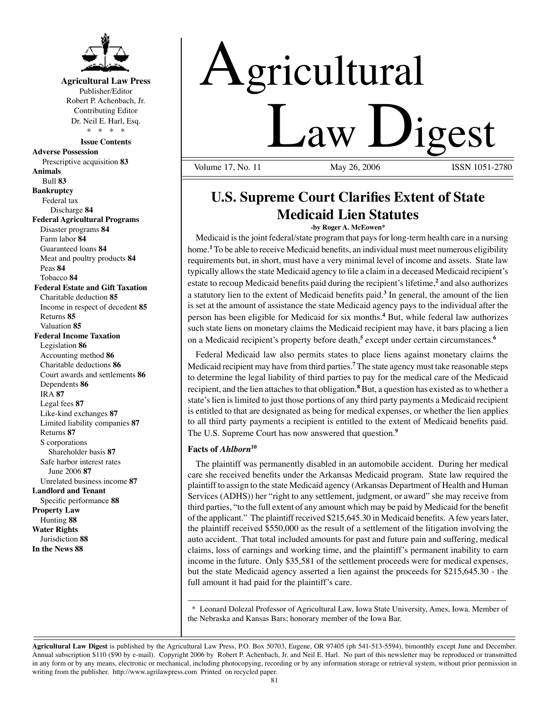

**Agricultural Law Press** Publisher/Editor Robert P. Achenbach, Jr. Contributing Editor Dr. Neil E. Harl, Esq. \* \* \* \*

**Issue Contents** 

**Adverse Possession**  Prescriptive acquisition **83 Animals**  Bull **83 Bankruptcy** Federal tax Discharge **84 Federal Agricultural Programs** Disaster programs **84**  Farm labor **84**  Guaranteed loans **84**  Meat and poultry products **84**  Peas **84**  Tobacco **84 Federal Estate and Gift Taxation**  Charitable deduction **85**  Income in respect of decedent **85**  Returns **85**  Valuation **85 Federal Income Taxation**  Legislation **86**  Accounting method **86**  Charitable deductions **86**  Court awards and settlements **86**  Dependents **86**  IRA **87**  Legal fees **87**  Like-kind exchanges **87**  Limited liability companies **87**  Returns **87**  S corporations Shareholder basis **87** Safe harbor interest rates June 2006 **87** Unrelated business income **87 Landlord and Tenant**  Specific performance **88 Property Law** Hunting **88 Water Rights** Jurisdiction **88 In the News 88** 

# Agricultural  $Law \tJigest$

Volume 17, No. 11

## **U.S. Supreme Court Clarifies Extent of State Medicaid Lien Statutes**

#### **-by Roger A. McEowen\***

Medicaid is the joint federal/state program that pays for long-term health care in a nursing home. **<sup>1</sup>** To be able to receive Medicaid benefits, an individual must meet numerous eligibility requirements but, in short, must have a very minimal level of income and assets. State law typically allowsthe state Medicaid agency to file a claim in a deceased Medicaid recipient's estate to recoup Medicaid benefits paid during the recipient's lifetime,**<sup>2</sup>**and also authorizes a statutory lien to the extent of Medicaid benefits paid.**<sup>3</sup>**In general, the amount of the lien is set at the amount of assistance the state Medicaid agency pays to the individual after the person has been eligible for Medicaid for six months.**<sup>4</sup>**But, while federal law authorizes such state liens on monetary claims the Medicaid recipient may have, it bars placing a lien on a Medicaid recipient's property before death,<sup>5</sup> except under certain circumstances.<sup>6</sup>

Federal Medicaid law also permits states to place liens against monetary claims the Medicaid recipient may have from third parties. **<sup>7</sup>**The state agency must take reasonable steps to determine the legal liability of third parties to pay for the medical care of the Medicaid recipient, and the lien attaches to that obligation. **<sup>8</sup>**But, a question has existed as to whether a state'slien islimited to just those portions of any third party payments a Medicaid recipient is entitled to that are designated as being for medical expenses, or whether the lien applies to all third party payments a recipient is entitled to the extent of Medicaid benefits paid. The U.S. Supreme Court has now answered that question.**<sup>9</sup>**

#### **Facts of** *Ahlborn***<sup>10</sup>**

The plaintiff was permanently disabled in an automobile accident. During her medical care she received benefits under the Arkansas Medicaid program. State law required the plaintiff to assign to the state Medicaid agency (Arkansas Department of Health and Human Services (ADHS)) her "right to any settlement, judgment, or award" she may receive from third parties, "to the full extent of any amount which may be paid by Medicaid for the benefit of the applicant." The plaintiff received \$215,645.30 in Medicaid benefits. Afew yearslater, the plaintiff received \$550,000 as the result of a settlement of the litigation involving the auto accident. That total included amounts for past and future pain and suffering, medical claims, loss of earnings and working time, and the plaintiff's permanent inability to earn income in the future. Only \$35,581 of the settlement proceeds were for medical expenses, but the state Medicaid agency asserted a lien against the proceeds for \$215,645.30 - the full amount it had paid for the plaintiff's care.

\_\_\_\_\_\_\_\_\_\_\_\_\_\_\_\_\_\_\_\_\_\_\_\_\_\_\_\_\_\_\_\_\_\_\_\_\_\_\_\_\_\_\_\_\_\_\_\_\_\_\_\_\_\_\_\_\_\_\_\_\_\_\_\_\_\_\_\_\_\_\_ \* Leonard Dolezal Professor of Agricultural Law, Iowa State University, Ames, Iowa. Member of the Nebraska and Kansas Bars; honorary member of the Iowa Bar.

**Agricultural Law Digest** is published by the Agricultural Law Press, P.O. Box 50703, Eugene, OR 97405 (ph 541-513-5594), bimonthly except June and December. Annual subscription \$110 (\$90 by e-mail). Copyright 2006 by Robert P. Achenbach, Jr. and Neil E. Harl. No part of this newsletter may be reproduced or transmitted in any form or by any means, electronic or mechanical, including photocopying, recording or by any information storage or retrieval system, without prior permission in writing from the publisher. http://www.agrilawpress.com Printed on recycled paper.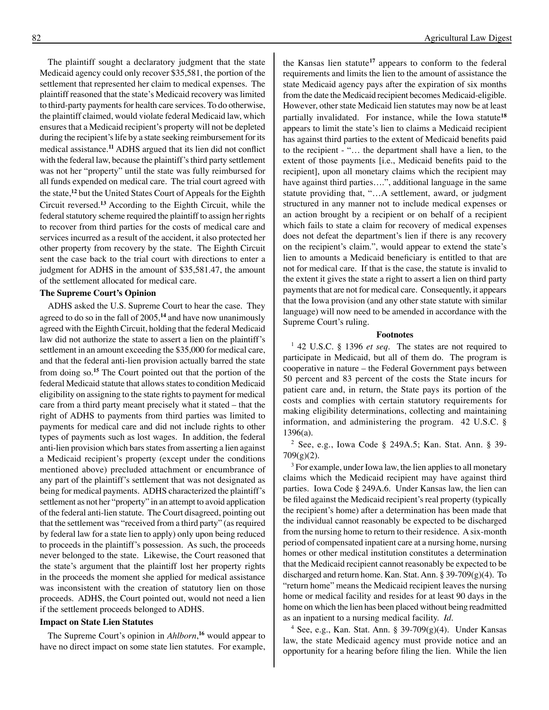The plaintiff sought a declaratory judgment that the state Medicaid agency could only recover \$35,581, the portion of the settlement that represented her claim to medical expenses. The plaintiff reasoned that the state's Medicaid recovery was limited to third-party payments for health care services. To do otherwise, the plaintiff claimed, would violate federal Medicaid law, which ensures that a Medicaid recipient's property will not be depleted during the recipient's life by a state seeking reimbursement for its medical assistance.**<sup>11</sup>** ADHS argued that its lien did not conflict with the federal law, because the plaintiff's third party settlement was not her "property" until the state was fully reimbursed for all funds expended on medical care. The trial court agreed with the state,**<sup>12</sup>**but the United States Court of Appeals for the Eighth Circuit reversed.**<sup>13</sup>**According to the Eighth Circuit, while the federal statutory scheme required the plaintiff to assign her rights to recover from third parties for the costs of medical care and services incurred as a result of the accident, it also protected her other property from recovery by the state. The Eighth Circuit sent the case back to the trial court with directions to enter a judgment for ADHS in the amount of \$35,581.47, the amount

#### **The Supreme Court's Opinion**

of the settlement allocated for medical care.

ADHS asked the U.S. Supreme Court to hear the case. They agreed to do so in the fall of 2005,**<sup>14</sup>**and have now unanimously agreed with the Eighth Circuit, holding that the federal Medicaid law did not authorize the state to assert a lien on the plaintiff's settlement in an amount exceeding the \$35,000 for medical care, and that the federal anti-lien provision actually barred the state from doing so.**<sup>15</sup>**The Court pointed out that the portion of the federal Medicaid statute that allows states to condition Medicaid eligibility on assigning to the state rights to payment for medical care from a third party meant precisely what it stated – that the right of ADHS to payments from third parties was limited to payments for medical care and did not include rights to other types of payments such as lost wages. In addition, the federal anti-lien provision which bars states from asserting a lien against a Medicaid recipient's property (except under the conditions mentioned above) precluded attachment or encumbrance of any part of the plaintiff's settlement that was not designated as being for medical payments. ADHS characterized the plaintiff's settlement as not her "property" in an attempt to avoid application of the federal anti-lien statute. The Court disagreed, pointing out that the settlement was "received from a third party" (as required by federal law for a state lien to apply) only upon being reduced to proceeds in the plaintiff's possession. As such, the proceeds never belonged to the state. Likewise, the Court reasoned that the state's argument that the plaintiff lost her property rights in the proceeds the moment she applied for medical assistance was inconsistent with the creation of statutory lien on those proceeds. ADHS, the Court pointed out, would not need a lien if the settlement proceeds belonged to ADHS.

#### **Impact on State Lien Statutes**

The Supreme Court's opinion in *Ahlborn*,<sup>16</sup> would appear to have no direct impact on some state lien statutes. For example,

the Kansas lien statute**<sup>17</sup>**appears to conform to the federal requirements and limits the lien to the amount of assistance the state Medicaid agency pays after the expiration of six months from the date the Medicaid recipient becomes Medicaid-eligible. However, other state Medicaid lien statutes may now be at least partially invalidated. For instance, while the Iowa statute**<sup>18</sup>** appears to limit the state's lien to claims a Medicaid recipient has against third parties to the extent of Medicaid benefits paid to the recipient - "… the department shall have a lien, to the extent of those payments [i.e., Medicaid benefits paid to the recipient], upon all monetary claims which the recipient may have against third parties….", additional language in the same statute providing that, "…A settlement, award, or judgment structured in any manner not to include medical expenses or an action brought by a recipient or on behalf of a recipient which fails to state a claim for recovery of medical expenses does not defeat the department's lien if there is any recovery on the recipient's claim.", would appear to extend the state's lien to amounts a Medicaid beneficiary is entitled to that are not for medical care. If that is the case, the statute is invalid to the extent it gives the state a right to assert a lien on third party payments that are not for medical care. Consequently, it appears that the Iowa provision (and any other state statute with similar language) will now need to be amended in accordance with the Supreme Court's ruling. 

#### **Footnotes**

1 42 U.S.C. § 1396 *et seq.* The states are not required to participate in Medicaid, but all of them do. The program is cooperative in nature – the Federal Government pays between 50 percent and 83 percent of the costs the State incurs for patient care and, in return, the State pays its portion of the costs and complies with certain statutory requirements for making eligibility determinations, collecting and maintaining information, and administering the program. 42 U.S.C. § 1396(a).

2 See, e.g., Iowa Code § 249A.5; Kan. Stat. Ann. § 39-  $709(g)(2)$ .

<sup>3</sup> For example, under Iowa law, the lien applies to all monetary claims which the Medicaid recipient may have against third parties. Iowa Code § 249A.6. Under Kansas law, the lien can be filed against the Medicaid recipient's real property (typically the recipient's home) after a determination has been made that the individual cannot reasonably be expected to be discharged from the nursing home to return to their residence. A six-month period of compensated inpatient care at a nursing home, nursing homes or other medical institution constitutes a determination that the Medicaid recipient cannot reasonably be expected to be discharged and return home. Kan. Stat. Ann. § 39-709(g)(4). To "return home" means the Medicaid recipient leaves the nursing home or medical facility and resides for at least 90 days in the home on which the lien has been placed without being readmitted as an inpatient to a nursing medical facility. *Id.* 

<sup>4</sup> See, e.g., Kan. Stat. Ann. § 39-709 $(g)(4)$ . Under Kansas law, the state Medicaid agency must provide notice and an opportunity for a hearing before filing the lien. While the lien